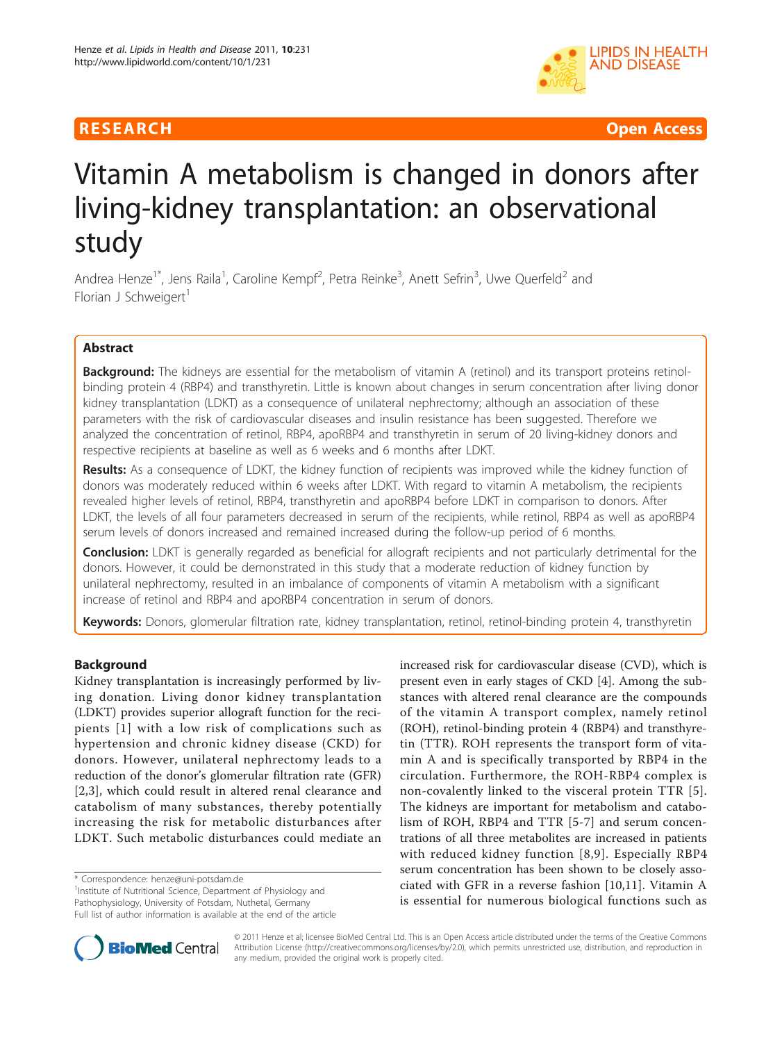

**RESEARCH CONSTRUCTER IN A SECOND ACCESS CONSTRUCTER Open Access** 

# Vitamin A metabolism is changed in donors after living-kidney transplantation: an observational study

Andrea Henze<sup>1\*</sup>, Jens Raila<sup>1</sup>, Caroline Kempf<sup>2</sup>, Petra Reinke<sup>3</sup>, Anett Sefrin<sup>3</sup>, Uwe Querfeld<sup>2</sup> and Florian J Schweigert $<sup>1</sup>$ </sup>

# Abstract

**Background:** The kidneys are essential for the metabolism of vitamin A (retinol) and its transport proteins retinolbinding protein 4 (RBP4) and transthyretin. Little is known about changes in serum concentration after living donor kidney transplantation (LDKT) as a consequence of unilateral nephrectomy; although an association of these parameters with the risk of cardiovascular diseases and insulin resistance has been suggested. Therefore we analyzed the concentration of retinol, RBP4, apoRBP4 and transthyretin in serum of 20 living-kidney donors and respective recipients at baseline as well as 6 weeks and 6 months after LDKT.

Results: As a consequence of LDKT, the kidney function of recipients was improved while the kidney function of donors was moderately reduced within 6 weeks after LDKT. With regard to vitamin A metabolism, the recipients revealed higher levels of retinol, RBP4, transthyretin and apoRBP4 before LDKT in comparison to donors. After LDKT, the levels of all four parameters decreased in serum of the recipients, while retinol, RBP4 as well as apoRBP4 serum levels of donors increased and remained increased during the follow-up period of 6 months.

Conclusion: LDKT is generally regarded as beneficial for allograft recipients and not particularly detrimental for the donors. However, it could be demonstrated in this study that a moderate reduction of kidney function by unilateral nephrectomy, resulted in an imbalance of components of vitamin A metabolism with a significant increase of retinol and RBP4 and apoRBP4 concentration in serum of donors.

Keywords: Donors, glomerular filtration rate, kidney transplantation, retinol, retinol-binding protein 4, transthyretin

# Background

Kidney transplantation is increasingly performed by living donation. Living donor kidney transplantation (LDKT) provides superior allograft function for the recipients [[1\]](#page-5-0) with a low risk of complications such as hypertension and chronic kidney disease (CKD) for donors. However, unilateral nephrectomy leads to a reduction of the donor's glomerular filtration rate (GFR) [[2,3](#page-5-0)], which could result in altered renal clearance and catabolism of many substances, thereby potentially increasing the risk for metabolic disturbances after LDKT. Such metabolic disturbances could mediate an

\* Correspondence: [henze@uni-potsdam.de](mailto:henze@uni-potsdam.de)

<sup>1</sup>Institute of Nutritional Science, Department of Physiology and Pathophysiology, University of Potsdam, Nuthetal, Germany

Full list of author information is available at the end of the article

increased risk for cardiovascular disease (CVD), which is present even in early stages of CKD [\[4](#page-5-0)]. Among the substances with altered renal clearance are the compounds of the vitamin A transport complex, namely retinol (ROH), retinol-binding protein 4 (RBP4) and transthyretin (TTR). ROH represents the transport form of vitamin A and is specifically transported by RBP4 in the circulation. Furthermore, the ROH-RBP4 complex is non-covalently linked to the visceral protein TTR [[5](#page-5-0)]. The kidneys are important for metabolism and catabolism of ROH, RBP4 and TTR [\[5](#page-5-0)-[7](#page-5-0)] and serum concentrations of all three metabolites are increased in patients with reduced kidney function [[8](#page-5-0),[9\]](#page-5-0). Especially RBP4 serum concentration has been shown to be closely associated with GFR in a reverse fashion [[10,11](#page-5-0)]. Vitamin A is essential for numerous biological functions such as



© 2011 Henze et al; licensee BioMed Central Ltd. This is an Open Access article distributed under the terms of the Creative Commons Attribution License [\(http://creativecommons.org/licenses/by/2.0](http://creativecommons.org/licenses/by/2.0)), which permits unrestricted use, distribution, and reproduction in any medium, provided the original work is properly cited.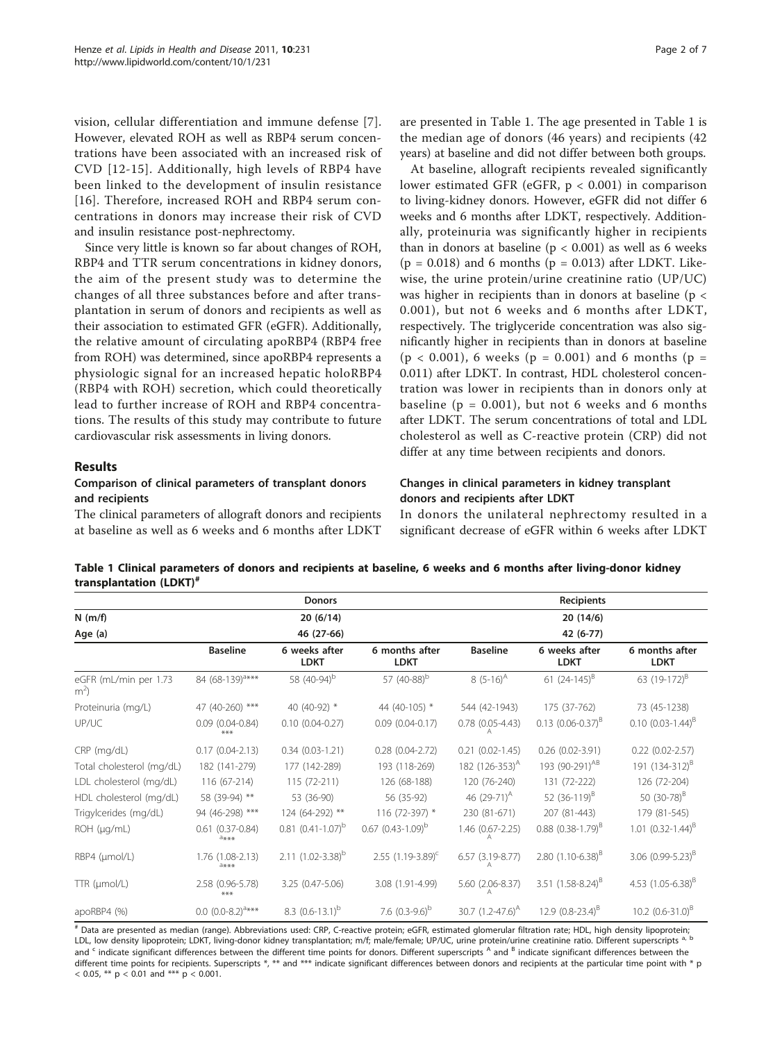<span id="page-1-0"></span>vision, cellular differentiation and immune defense [[7](#page-5-0)]. However, elevated ROH as well as RBP4 serum concentrations have been associated with an increased risk of CVD [\[12-15](#page-5-0)]. Additionally, high levels of RBP4 have been linked to the development of insulin resistance [[16](#page-5-0)]. Therefore, increased ROH and RBP4 serum concentrations in donors may increase their risk of CVD and insulin resistance post-nephrectomy.

Since very little is known so far about changes of ROH, RBP4 and TTR serum concentrations in kidney donors, the aim of the present study was to determine the changes of all three substances before and after transplantation in serum of donors and recipients as well as their association to estimated GFR (eGFR). Additionally, the relative amount of circulating apoRBP4 (RBP4 free from ROH) was determined, since apoRBP4 represents a physiologic signal for an increased hepatic holoRBP4 (RBP4 with ROH) secretion, which could theoretically lead to further increase of ROH and RBP4 concentrations. The results of this study may contribute to future cardiovascular risk assessments in living donors.

# Results

# Comparison of clinical parameters of transplant donors and recipients

The clinical parameters of allograft donors and recipients at baseline as well as 6 weeks and 6 months after LDKT

are presented in Table 1. The age presented in Table 1 is the median age of donors (46 years) and recipients (42 years) at baseline and did not differ between both groups.

At baseline, allograft recipients revealed significantly lower estimated GFR (eGFR, p < 0.001) in comparison to living-kidney donors. However, eGFR did not differ 6 weeks and 6 months after LDKT, respectively. Additionally, proteinuria was significantly higher in recipients than in donors at baseline ( $p < 0.001$ ) as well as 6 weeks  $(p = 0.018)$  and 6 months  $(p = 0.013)$  after LDKT. Likewise, the urine protein/urine creatinine ratio (UP/UC) was higher in recipients than in donors at baseline ( $p <$ 0.001), but not 6 weeks and 6 months after LDKT, respectively. The triglyceride concentration was also significantly higher in recipients than in donors at baseline  $(p < 0.001)$ , 6 weeks  $(p = 0.001)$  and 6 months  $(p = 0.001)$ 0.011) after LDKT. In contrast, HDL cholesterol concentration was lower in recipients than in donors only at baseline ( $p = 0.001$ ), but not 6 weeks and 6 months after LDKT. The serum concentrations of total and LDL cholesterol as well as C-reactive protein (CRP) did not differ at any time between recipients and donors.

# Changes in clinical parameters in kidney transplant donors and recipients after LDKT

In donors the unilateral nephrectomy resulted in a significant decrease of eGFR within 6 weeks after LDKT

# Table 1 Clinical parameters of donors and recipients at baseline, 6 weeks and 6 months after living-donor kidney transplantation (LDKT)<sup>#</sup>

|                                | <b>Donors</b><br>20(6/14)     |                              |                               | Recipients                 |                                 |                               |  |
|--------------------------------|-------------------------------|------------------------------|-------------------------------|----------------------------|---------------------------------|-------------------------------|--|
| $N$ (m/f)                      |                               |                              |                               | 20(14/6)                   |                                 |                               |  |
| Age (a)                        |                               | 46 (27-66)                   |                               |                            | 42 (6-77)                       |                               |  |
|                                | <b>Baseline</b>               | 6 weeks after<br><b>LDKT</b> | 6 months after<br><b>LDKT</b> | <b>Baseline</b>            | 6 weeks after<br><b>LDKT</b>    | 6 months after<br><b>LDKT</b> |  |
| eGFR (mL/min per 1.73<br>$m^2$ | 84 (68-139) <sup>a***</sup>   | 58 (40-94) <sup>b</sup>      | 57 (40-88) <sup>b</sup>       | 8 $(5-16)^A$               | 61 $(24-145)^8$                 | 63 (19-172) <sup>B</sup>      |  |
| Proteinuria (mg/L)             | 47 (40-260) ***               | 40 (40-92) *                 | 44 (40-105) *                 | 544 (42-1943)              | 175 (37-762)                    | 73 (45-1238)                  |  |
| UP/UC                          | $0.09$ $(0.04 - 0.84)$<br>*** | $0.10(0.04 - 0.27)$          | $0.09$ $(0.04 - 0.17)$        | $0.78$ $(0.05 - 4.43)$     | $0.13$ (0.06-0.37) <sup>B</sup> | $0.10$ $(0.03-1.44)^B$        |  |
| $CRP$ (mg/dL)                  | $0.17(0.04-2.13)$             | $0.34(0.03-1.21)$            | $0.28(0.04 - 2.72)$           | $0.21$ $(0.02 - 1.45)$     | $0.26$ (0.02-3.91)              | $0.22$ (0.02-2.57)            |  |
| Total cholesterol (mg/dL)      | 182 (141-279)                 | 177 (142-289)                | 193 (118-269)                 | 182 (126-353) <sup>A</sup> | 193 (90-291) <sup>AB</sup>      | 191 (134-312) <sup>B</sup>    |  |
| LDL cholesterol (mg/dL)        | 116 (67-214)                  | 115 (72-211)                 | 126 (68-188)                  | 120 (76-240)               | 131 (72-222)                    | 126 (72-204)                  |  |
| HDL cholesterol (mg/dL)        | 58 (39-94) **                 | 53 (36-90)                   | 56 (35-92)                    | 46 $(29-71)^{A}$           | 52 $(36-119)^8$                 | 50 $(30-78)^8$                |  |
| Trigylcerides (mg/dL)          | 94 (46-298) ***               | 124 (64-292) **              | 116 (72-397) *                | 230 (81-671)               | 207 (81-443)                    | 179 (81-545)                  |  |
| ROH (µq/mL)                    | $0.61(0.37 - 0.84)$<br>****   | $0.81$ $(0.41 - 1.07)^b$     | $0.67$ $(0.43-1.09)^b$        | 1.46 (0.67-2.25)           | $0.88$ $(0.38-1.79)^8$          | 1.01 $(0.32 - 1.44)^{B}$      |  |
| RBP4 (µmol/L)                  | 1.76 (1.08-2.13)<br>****      | $2.11$ $(1.02 - 3.38)^b$     | 2.55 $(1.19-3.89)^c$          | 6.57 (3.19-8.77)<br>А      | 2.80 $(1.10 - 6.38)^8$          | 3.06 $(0.99 - 5.23)^B$        |  |
| $TTR$ ( $\mu$ mol/L)           | 2.58 (0.96-5.78)<br>***       | 3.25 (0.47-5.06)             | 3.08 (1.91-4.99)              | 5.60 (2.06-8.37)           | 3.51 $(1.58-8.24)^8$            | 4.53 $(1.05 - 6.38)^8$        |  |
| apoRBP4 (%)                    | $0.0 (0.0-8.2)^{a***}$        | 8.3 $(0.6-13.1)^b$           | 7.6 $(0.3-9.6)^b$             | 30.7 $(1.2 - 47.6)^{A}$    | 12.9 $(0.8-23.4)^8$             | 10.2 $(0.6-31.0)^{B}$         |  |

# Data are presented as median (range). Abbreviations used: CRP, C-reactive protein; eGFR, estimated glomerular filtration rate; HDL, high density lipoprotein; LDL, low density lipoprotein; LDKT, living-donor kidney transplantation; m/f; male/female; UP/UC, urine protein/urine creatinine ratio. Different superscripts a, and <sup>c</sup> indicate significant differences between the different time points for donors. Different superscripts <sup>A</sup> and <sup>B</sup> indicate significant differences between the different time points for recipients. Superscripts \*, \*\* and \*\*\* indicate significant differences between donors and recipients at the particular time point with \* p  $< 0.05$ , \*\* p  $< 0.01$  and \*\*\* p  $< 0.001$ .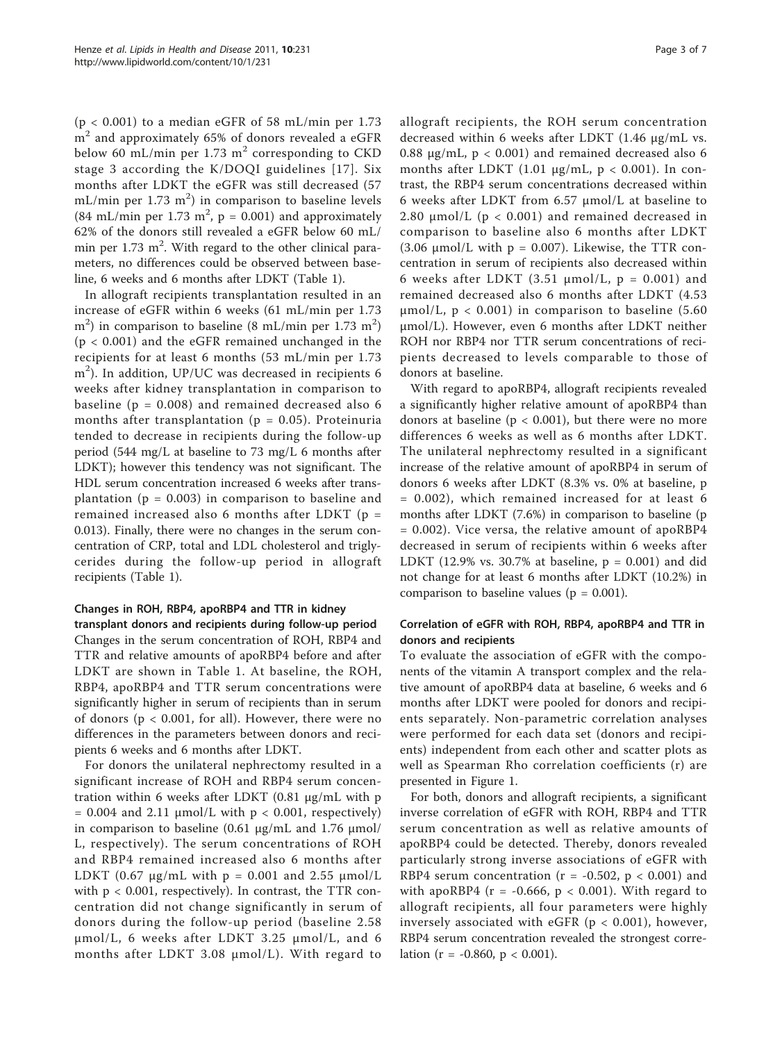$(p < 0.001)$  to a median eGFR of 58 mL/min per 1.73  $m<sup>2</sup>$  and approximately 65% of donors revealed a eGFR below 60 mL/min per 1.73  $m<sup>2</sup>$  corresponding to CKD stage 3 according the K/DOQI guidelines [[17\]](#page-6-0). Six months after LDKT the eGFR was still decreased (57 mL/min per 1.73  $\mathrm{m}^2$ ) in comparison to baseline levels (84 mL/min per 1.73 m<sup>2</sup>,  $p = 0.001$ ) and approximately 62% of the donors still revealed a eGFR below 60 mL/ min per 1.73 m<sup>2</sup>. With regard to the other clinical parameters, no differences could be observed between baseline, 6 weeks and 6 months after LDKT (Table [1\)](#page-1-0).

In allograft recipients transplantation resulted in an increase of eGFR within 6 weeks (61 mL/min per 1.73  $\rm (m^2)$  in comparison to baseline (8 mL/min per 1.73  $\rm (m^2)$ (p < 0.001) and the eGFR remained unchanged in the recipients for at least 6 months (53 mL/min per 1.73 m<sup>2</sup>). In addition, UP/UC was decreased in recipients 6 weeks after kidney transplantation in comparison to baseline ( $p = 0.008$ ) and remained decreased also 6 months after transplantation ( $p = 0.05$ ). Proteinuria tended to decrease in recipients during the follow-up period (544 mg/L at baseline to 73 mg/L 6 months after LDKT); however this tendency was not significant. The HDL serum concentration increased 6 weeks after transplantation ( $p = 0.003$ ) in comparison to baseline and remained increased also 6 months after LDKT (p = 0.013). Finally, there were no changes in the serum concentration of CRP, total and LDL cholesterol and triglycerides during the follow-up period in allograft recipients (Table [1](#page-1-0)).

# Changes in ROH, RBP4, apoRBP4 and TTR in kidney

transplant donors and recipients during follow-up period Changes in the serum concentration of ROH, RBP4 and TTR and relative amounts of apoRBP4 before and after LDKT are shown in Table [1.](#page-1-0) At baseline, the ROH, RBP4, apoRBP4 and TTR serum concentrations were significantly higher in serum of recipients than in serum of donors ( $p < 0.001$ , for all). However, there were no differences in the parameters between donors and recipients 6 weeks and 6 months after LDKT.

For donors the unilateral nephrectomy resulted in a significant increase of ROH and RBP4 serum concentration within 6 weeks after LDKT (0.81 μg/mL with p  $= 0.004$  and 2.11  $\mu$ mol/L with  $p < 0.001$ , respectively) in comparison to baseline  $(0.61 \mu g/mL$  and 1.76 μmol/ L, respectively). The serum concentrations of ROH and RBP4 remained increased also 6 months after LDKT (0.67  $\mu$ g/mL with p = 0.001 and 2.55  $\mu$ mol/L with  $p < 0.001$ , respectively). In contrast, the TTR concentration did not change significantly in serum of donors during the follow-up period (baseline 2.58 μmol/L, 6 weeks after LDKT 3.25 μmol/L, and 6 months after LDKT 3.08 μmol/L). With regard to allograft recipients, the ROH serum concentration decreased within 6 weeks after LDKT (1.46 μg/mL vs. 0.88 μg/mL,  $p < 0.001$ ) and remained decreased also 6 months after LDKT (1.01  $\mu$ g/mL, p < 0.001). In contrast, the RBP4 serum concentrations decreased within 6 weeks after LDKT from 6.57 μmol/L at baseline to 2.80  $\mu$ mol/L (p < 0.001) and remained decreased in comparison to baseline also 6 months after LDKT (3.06  $\mu$ mol/L with p = 0.007). Likewise, the TTR concentration in serum of recipients also decreased within 6 weeks after LDKT (3.51  $\mu$ mol/L, p = 0.001) and remained decreased also 6 months after LDKT (4.53  $\mu$ mol/L, p < 0.001) in comparison to baseline (5.60 μmol/L). However, even 6 months after LDKT neither ROH nor RBP4 nor TTR serum concentrations of recipients decreased to levels comparable to those of donors at baseline.

With regard to apoRBP4, allograft recipients revealed a significantly higher relative amount of apoRBP4 than donors at baseline ( $p < 0.001$ ), but there were no more differences 6 weeks as well as 6 months after LDKT. The unilateral nephrectomy resulted in a significant increase of the relative amount of apoRBP4 in serum of donors 6 weeks after LDKT (8.3% vs. 0% at baseline, p = 0.002), which remained increased for at least 6 months after LDKT (7.6%) in comparison to baseline (p = 0.002). Vice versa, the relative amount of apoRBP4 decreased in serum of recipients within 6 weeks after LDKT (12.9% vs. 30.7% at baseline,  $p = 0.001$ ) and did not change for at least 6 months after LDKT (10.2%) in comparison to baseline values ( $p = 0.001$ ).

# Correlation of eGFR with ROH, RBP4, apoRBP4 and TTR in donors and recipients

To evaluate the association of eGFR with the components of the vitamin A transport complex and the relative amount of apoRBP4 data at baseline, 6 weeks and 6 months after LDKT were pooled for donors and recipients separately. Non-parametric correlation analyses were performed for each data set (donors and recipients) independent from each other and scatter plots as well as Spearman Rho correlation coefficients (r) are presented in Figure [1](#page-3-0).

For both, donors and allograft recipients, a significant inverse correlation of eGFR with ROH, RBP4 and TTR serum concentration as well as relative amounts of apoRBP4 could be detected. Thereby, donors revealed particularly strong inverse associations of eGFR with RBP4 serum concentration ( $r = -0.502$ ,  $p < 0.001$ ) and with apoRBP4 ( $r = -0.666$ ,  $p < 0.001$ ). With regard to allograft recipients, all four parameters were highly inversely associated with eGFR ( $p < 0.001$ ), however, RBP4 serum concentration revealed the strongest correlation ( $r = -0.860$ ,  $p < 0.001$ ).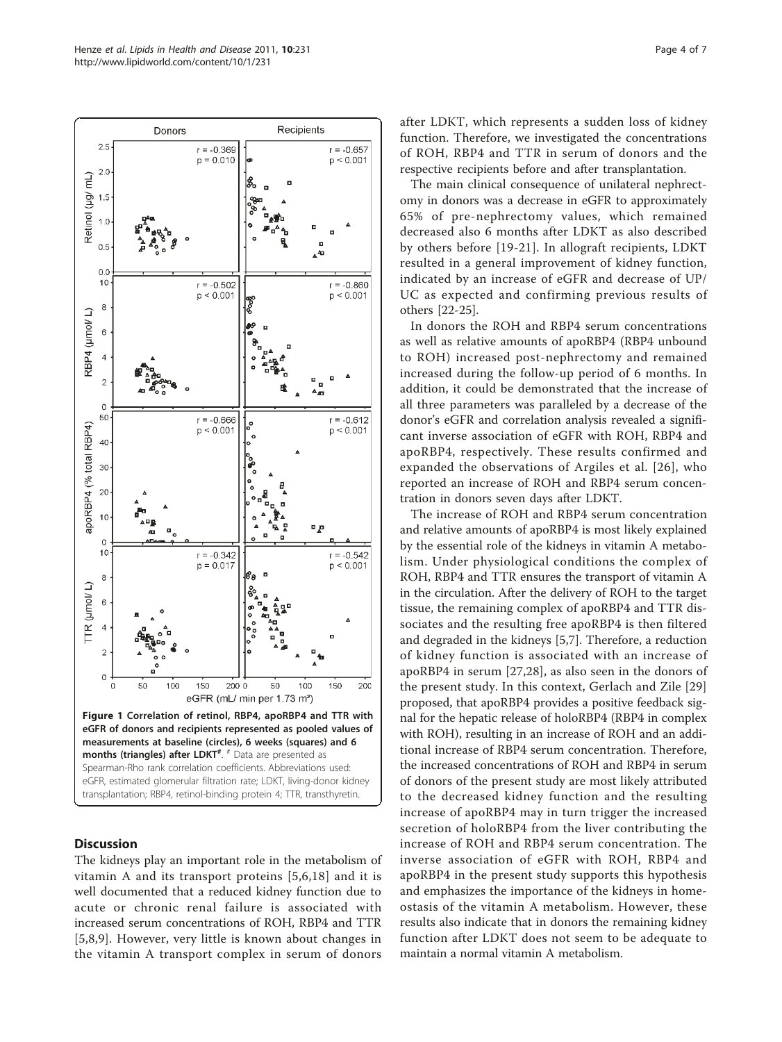<span id="page-3-0"></span>

# **Discussion**

The kidneys play an important role in the metabolism of vitamin A and its transport proteins [\[5,6](#page-5-0),[18\]](#page-6-0) and it is well documented that a reduced kidney function due to acute or chronic renal failure is associated with increased serum concentrations of ROH, RBP4 and TTR [[5,8](#page-5-0),[9\]](#page-5-0). However, very little is known about changes in the vitamin A transport complex in serum of donors after LDKT, which represents a sudden loss of kidney function. Therefore, we investigated the concentrations of ROH, RBP4 and TTR in serum of donors and the respective recipients before and after transplantation.

The main clinical consequence of unilateral nephrectomy in donors was a decrease in eGFR to approximately 65% of pre-nephrectomy values, which remained decreased also 6 months after LDKT as also described by others before [\[19](#page-6-0)-[21](#page-6-0)]. In allograft recipients, LDKT resulted in a general improvement of kidney function, indicated by an increase of eGFR and decrease of UP/ UC as expected and confirming previous results of others [\[22](#page-6-0)-[25\]](#page-6-0).

In donors the ROH and RBP4 serum concentrations as well as relative amounts of apoRBP4 (RBP4 unbound to ROH) increased post-nephrectomy and remained increased during the follow-up period of 6 months. In addition, it could be demonstrated that the increase of all three parameters was paralleled by a decrease of the donor's eGFR and correlation analysis revealed a significant inverse association of eGFR with ROH, RBP4 and apoRBP4, respectively. These results confirmed and expanded the observations of Argiles et al. [[26](#page-6-0)], who reported an increase of ROH and RBP4 serum concentration in donors seven days after LDKT.

The increase of ROH and RBP4 serum concentration and relative amounts of apoRBP4 is most likely explained by the essential role of the kidneys in vitamin A metabolism. Under physiological conditions the complex of ROH, RBP4 and TTR ensures the transport of vitamin A in the circulation. After the delivery of ROH to the target tissue, the remaining complex of apoRBP4 and TTR dissociates and the resulting free apoRBP4 is then filtered and degraded in the kidneys [\[5,7](#page-5-0)]. Therefore, a reduction of kidney function is associated with an increase of apoRBP4 in serum [[27,28\]](#page-6-0), as also seen in the donors of the present study. In this context, Gerlach and Zile [\[29](#page-6-0)] proposed, that apoRBP4 provides a positive feedback signal for the hepatic release of holoRBP4 (RBP4 in complex with ROH), resulting in an increase of ROH and an additional increase of RBP4 serum concentration. Therefore, the increased concentrations of ROH and RBP4 in serum of donors of the present study are most likely attributed to the decreased kidney function and the resulting increase of apoRBP4 may in turn trigger the increased secretion of holoRBP4 from the liver contributing the increase of ROH and RBP4 serum concentration. The inverse association of eGFR with ROH, RBP4 and apoRBP4 in the present study supports this hypothesis and emphasizes the importance of the kidneys in homeostasis of the vitamin A metabolism. However, these results also indicate that in donors the remaining kidney function after LDKT does not seem to be adequate to maintain a normal vitamin A metabolism.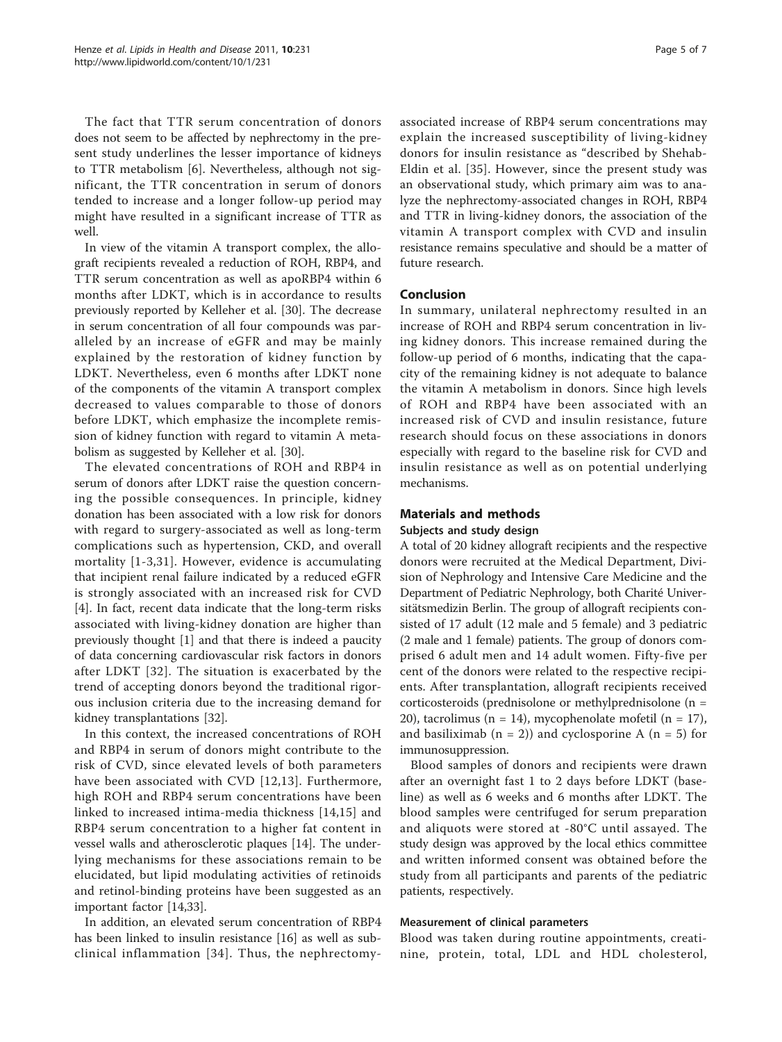The fact that TTR serum concentration of donors does not seem to be affected by nephrectomy in the present study underlines the lesser importance of kidneys to TTR metabolism [\[6](#page-5-0)]. Nevertheless, although not significant, the TTR concentration in serum of donors tended to increase and a longer follow-up period may might have resulted in a significant increase of TTR as well.

In view of the vitamin A transport complex, the allograft recipients revealed a reduction of ROH, RBP4, and TTR serum concentration as well as apoRBP4 within 6 months after LDKT, which is in accordance to results previously reported by Kelleher et al. [\[30](#page-6-0)]. The decrease in serum concentration of all four compounds was paralleled by an increase of eGFR and may be mainly explained by the restoration of kidney function by LDKT. Nevertheless, even 6 months after LDKT none of the components of the vitamin A transport complex decreased to values comparable to those of donors before LDKT, which emphasize the incomplete remission of kidney function with regard to vitamin A metabolism as suggested by Kelleher et al. [[30\]](#page-6-0).

The elevated concentrations of ROH and RBP4 in serum of donors after LDKT raise the question concerning the possible consequences. In principle, kidney donation has been associated with a low risk for donors with regard to surgery-associated as well as long-term complications such as hypertension, CKD, and overall mortality [[1-3,](#page-5-0)[31](#page-6-0)]. However, evidence is accumulating that incipient renal failure indicated by a reduced eGFR is strongly associated with an increased risk for CVD [[4\]](#page-5-0). In fact, recent data indicate that the long-term risks associated with living-kidney donation are higher than previously thought [[1\]](#page-5-0) and that there is indeed a paucity of data concerning cardiovascular risk factors in donors after LDKT [[32\]](#page-6-0). The situation is exacerbated by the trend of accepting donors beyond the traditional rigorous inclusion criteria due to the increasing demand for kidney transplantations [\[32](#page-6-0)].

In this context, the increased concentrations of ROH and RBP4 in serum of donors might contribute to the risk of CVD, since elevated levels of both parameters have been associated with CVD [\[12,13](#page-5-0)]. Furthermore, high ROH and RBP4 serum concentrations have been linked to increased intima-media thickness [[14,15\]](#page-5-0) and RBP4 serum concentration to a higher fat content in vessel walls and atherosclerotic plaques [\[14\]](#page-5-0). The underlying mechanisms for these associations remain to be elucidated, but lipid modulating activities of retinoids and retinol-binding proteins have been suggested as an important factor [[14](#page-5-0)[,33](#page-6-0)].

In addition, an elevated serum concentration of RBP4 has been linked to insulin resistance [[16\]](#page-5-0) as well as subclinical inflammation [[34](#page-6-0)]. Thus, the nephrectomyassociated increase of RBP4 serum concentrations may explain the increased susceptibility of living-kidney donors for insulin resistance as "described by Shehab-Eldin et al. [[35](#page-6-0)]. However, since the present study was an observational study, which primary aim was to analyze the nephrectomy-associated changes in ROH, RBP4 and TTR in living-kidney donors, the association of the vitamin A transport complex with CVD and insulin resistance remains speculative and should be a matter of future research.

### Conclusion

In summary, unilateral nephrectomy resulted in an increase of ROH and RBP4 serum concentration in living kidney donors. This increase remained during the follow-up period of 6 months, indicating that the capacity of the remaining kidney is not adequate to balance the vitamin A metabolism in donors. Since high levels of ROH and RBP4 have been associated with an increased risk of CVD and insulin resistance, future research should focus on these associations in donors especially with regard to the baseline risk for CVD and insulin resistance as well as on potential underlying mechanisms.

#### Materials and methods

#### Subjects and study design

A total of 20 kidney allograft recipients and the respective donors were recruited at the Medical Department, Division of Nephrology and Intensive Care Medicine and the Department of Pediatric Nephrology, both Charité Universitätsmedizin Berlin. The group of allograft recipients consisted of 17 adult (12 male and 5 female) and 3 pediatric (2 male and 1 female) patients. The group of donors comprised 6 adult men and 14 adult women. Fifty-five per cent of the donors were related to the respective recipients. After transplantation, allograft recipients received corticosteroids (prednisolone or methylprednisolone (n = 20), tacrolimus (n = 14), mycophenolate mofetil (n = 17), and basiliximab  $(n = 2)$  and cyclosporine A  $(n = 5)$  for immunosuppression.

Blood samples of donors and recipients were drawn after an overnight fast 1 to 2 days before LDKT (baseline) as well as 6 weeks and 6 months after LDKT. The blood samples were centrifuged for serum preparation and aliquots were stored at -80°C until assayed. The study design was approved by the local ethics committee and written informed consent was obtained before the study from all participants and parents of the pediatric patients, respectively.

#### Measurement of clinical parameters

Blood was taken during routine appointments, creatinine, protein, total, LDL and HDL cholesterol,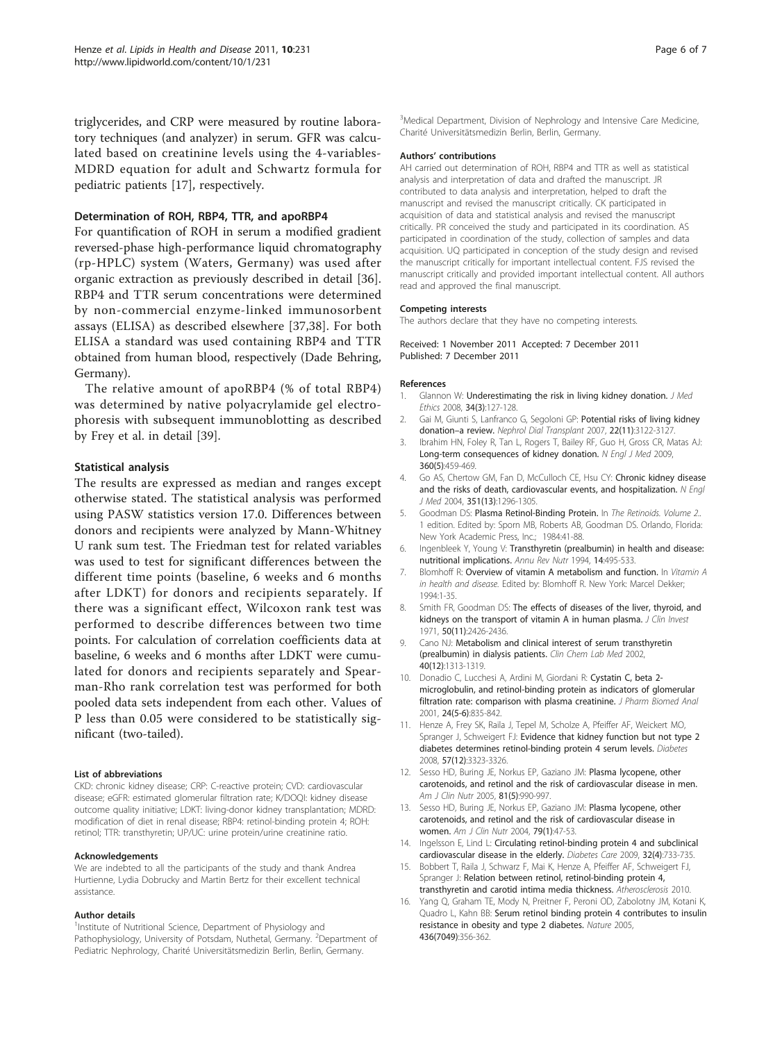<span id="page-5-0"></span>triglycerides, and CRP were measured by routine laboratory techniques (and analyzer) in serum. GFR was calculated based on creatinine levels using the 4-variables-MDRD equation for adult and Schwartz formula for pediatric patients [[17](#page-6-0)], respectively.

## Determination of ROH, RBP4, TTR, and apoRBP4

For quantification of ROH in serum a modified gradient reversed-phase high-performance liquid chromatography (rp-HPLC) system (Waters, Germany) was used after organic extraction as previously described in detail [\[36](#page-6-0)]. RBP4 and TTR serum concentrations were determined by non-commercial enzyme-linked immunosorbent assays (ELISA) as described elsewhere [\[37,38](#page-6-0)]. For both ELISA a standard was used containing RBP4 and TTR obtained from human blood, respectively (Dade Behring, Germany).

The relative amount of apoRBP4 (% of total RBP4) was determined by native polyacrylamide gel electrophoresis with subsequent immunoblotting as described by Frey et al. in detail [[39\]](#page-6-0).

# Statistical analysis

The results are expressed as median and ranges except otherwise stated. The statistical analysis was performed using PASW statistics version 17.0. Differences between donors and recipients were analyzed by Mann-Whitney U rank sum test. The Friedman test for related variables was used to test for significant differences between the different time points (baseline, 6 weeks and 6 months after LDKT) for donors and recipients separately. If there was a significant effect, Wilcoxon rank test was performed to describe differences between two time points. For calculation of correlation coefficients data at baseline, 6 weeks and 6 months after LDKT were cumulated for donors and recipients separately and Spearman-Rho rank correlation test was performed for both pooled data sets independent from each other. Values of P less than 0.05 were considered to be statistically significant (two-tailed).

#### List of abbreviations

CKD: chronic kidney disease; CRP: C-reactive protein; CVD: cardiovascular disease; eGFR: estimated glomerular filtration rate; K/DOQI: kidney disease outcome quality initiative; LDKT: living-donor kidney transplantation; MDRD: modification of diet in renal disease; RBP4: retinol-binding protein 4; ROH: retinol; TTR: transthyretin; UP/UC: urine protein/urine creatinine ratio.

#### Acknowledgements

We are indebted to all the participants of the study and thank Andrea Hurtienne, Lydia Dobrucky and Martin Bertz for their excellent technical assistance.

#### Author details

<sup>1</sup>Institute of Nutritional Science, Department of Physiology and Pathophysiology, University of Potsdam, Nuthetal, Germany. <sup>2</sup>Department of Pediatric Nephrology, Charité Universitätsmedizin Berlin, Berlin, Germany.

<sup>3</sup>Medical Department, Division of Nephrology and Intensive Care Medicine Charité Universitätsmedizin Berlin, Berlin, Germany.

#### Authors' contributions

AH carried out determination of ROH, RBP4 and TTR as well as statistical analysis and interpretation of data and drafted the manuscript. JR contributed to data analysis and interpretation, helped to draft the manuscript and revised the manuscript critically. CK participated in acquisition of data and statistical analysis and revised the manuscript critically. PR conceived the study and participated in its coordination. AS participated in coordination of the study, collection of samples and data acquisition. UQ participated in conception of the study design and revised the manuscript critically for important intellectual content. FJS revised the manuscript critically and provided important intellectual content. All authors read and approved the final manuscript.

#### Competing interests

The authors declare that they have no competing interests.

Received: 1 November 2011 Accepted: 7 December 2011 Published: 7 December 2011

#### References

- Glannon W: [Underestimating the risk in living kidney donation.](http://www.ncbi.nlm.nih.gov/pubmed/18316448?dopt=Abstract) J Med Ethics 2008, 34(3):127-128.
- 2. Gai M, Giunti S, Lanfranco G, Segoloni GP: [Potential risks of living kidney](http://www.ncbi.nlm.nih.gov/pubmed/17640938?dopt=Abstract) donation–[a review.](http://www.ncbi.nlm.nih.gov/pubmed/17640938?dopt=Abstract) Nephrol Dial Transplant 2007, 22(11):3122-3127.
- 3. Ibrahim HN, Foley R, Tan L, Rogers T, Bailey RF, Guo H, Gross CR, Matas AJ: [Long-term consequences of kidney donation.](http://www.ncbi.nlm.nih.gov/pubmed/19179315?dopt=Abstract) N Engl J Med 2009, 360(5):459-469.
- 4. Go AS, Chertow GM, Fan D, McCulloch CE, Hsu CY: [Chronic kidney disease](http://www.ncbi.nlm.nih.gov/pubmed/15385656?dopt=Abstract) [and the risks of death, cardiovascular events, and hospitalization.](http://www.ncbi.nlm.nih.gov/pubmed/15385656?dopt=Abstract) N Engl J Med 2004, 351(13):1296-1305.
- 5. Goodman DS: Plasma Retinol-Binding Protein. In The Retinoids. Volume 2.. 1 edition. Edited by: Sporn MB, Roberts AB, Goodman DS. Orlando, Florida: New York Academic Press, Inc.; 1984:41-88.
- Ingenbleek Y, Young V: [Transthyretin \(prealbumin\) in health and disease:](http://www.ncbi.nlm.nih.gov/pubmed/7946531?dopt=Abstract) [nutritional implications.](http://www.ncbi.nlm.nih.gov/pubmed/7946531?dopt=Abstract) Annu Rev Nutr 1994, 14:495-533.
- 7. Blomhoff R: Overview of vitamin A metabolism and function. In Vitamin A in health and disease. Edited by: Blomhoff R. New York: Marcel Dekker; 1994:1-35.
- 8. Smith FR, Goodman DS: [The effects of diseases of the liver, thyroid, and](http://www.ncbi.nlm.nih.gov/pubmed/5096525?dopt=Abstract) [kidneys on the transport of vitamin A in human plasma.](http://www.ncbi.nlm.nih.gov/pubmed/5096525?dopt=Abstract) J Clin Invest 1971, 50(11):2426-2436.
- Cano NJ: [Metabolism and clinical interest of serum transthyretin](http://www.ncbi.nlm.nih.gov/pubmed/12553436?dopt=Abstract) [\(prealbumin\) in dialysis patients.](http://www.ncbi.nlm.nih.gov/pubmed/12553436?dopt=Abstract) Clin Chem Lab Med 2002, 40(12):1313-1319.
- 10. Donadio C, Lucchesi A, Ardini M, Giordani R: [Cystatin C, beta 2](http://www.ncbi.nlm.nih.gov/pubmed/11248475?dopt=Abstract) [microglobulin, and retinol-binding protein as indicators of glomerular](http://www.ncbi.nlm.nih.gov/pubmed/11248475?dopt=Abstract) [filtration rate: comparison with plasma creatinine.](http://www.ncbi.nlm.nih.gov/pubmed/11248475?dopt=Abstract) J Pharm Biomed Anal 2001, 24(5-6):835-842.
- 11. Henze A, Frey SK, Raila J, Tepel M, Scholze A, Pfeiffer AF, Weickert MO, Spranger J, Schweigert FJ: [Evidence that kidney function but not type 2](http://www.ncbi.nlm.nih.gov/pubmed/18796616?dopt=Abstract) [diabetes determines retinol-binding protein 4 serum levels.](http://www.ncbi.nlm.nih.gov/pubmed/18796616?dopt=Abstract) Diabetes 2008, 57(12):3323-3326.
- 12. Sesso HD, Buring JE, Norkus EP, Gaziano JM: [Plasma lycopene, other](http://www.ncbi.nlm.nih.gov/pubmed/15883420?dopt=Abstract) [carotenoids, and retinol and the risk of cardiovascular disease in men.](http://www.ncbi.nlm.nih.gov/pubmed/15883420?dopt=Abstract) Am J Clin Nutr 2005, 81(5):990-997.
- 13. Sesso HD, Buring JE, Norkus EP, Gaziano JM: [Plasma lycopene, other](http://www.ncbi.nlm.nih.gov/pubmed/14684396?dopt=Abstract) [carotenoids, and retinol and the risk of cardiovascular disease in](http://www.ncbi.nlm.nih.gov/pubmed/14684396?dopt=Abstract) [women.](http://www.ncbi.nlm.nih.gov/pubmed/14684396?dopt=Abstract) Am J Clin Nutr 2004, 79(1):47-53.
- 14. Ingelsson E, Lind L: [Circulating retinol-binding protein 4 and subclinical](http://www.ncbi.nlm.nih.gov/pubmed/19114616?dopt=Abstract) [cardiovascular disease in the elderly.](http://www.ncbi.nlm.nih.gov/pubmed/19114616?dopt=Abstract) Diabetes Care 2009, 32(4):733-735.
- 15. Bobbert T, Raila J, Schwarz F, Mai K, Henze A, Pfeiffer AF, Schweigert FJ, Spranger J: Relation between retinol, retinol-binding protein 4, transthyretin and carotid intima media thickness. Atherosclerosis 2010.
- 16. Yang Q, Graham TE, Mody N, Preitner F, Peroni OD, Zabolotny JM, Kotani K, Quadro L, Kahn BB: [Serum retinol binding protein 4 contributes to insulin](http://www.ncbi.nlm.nih.gov/pubmed/16034410?dopt=Abstract) [resistance in obesity and type 2 diabetes.](http://www.ncbi.nlm.nih.gov/pubmed/16034410?dopt=Abstract) Nature 2005, 436(7049):356-362.